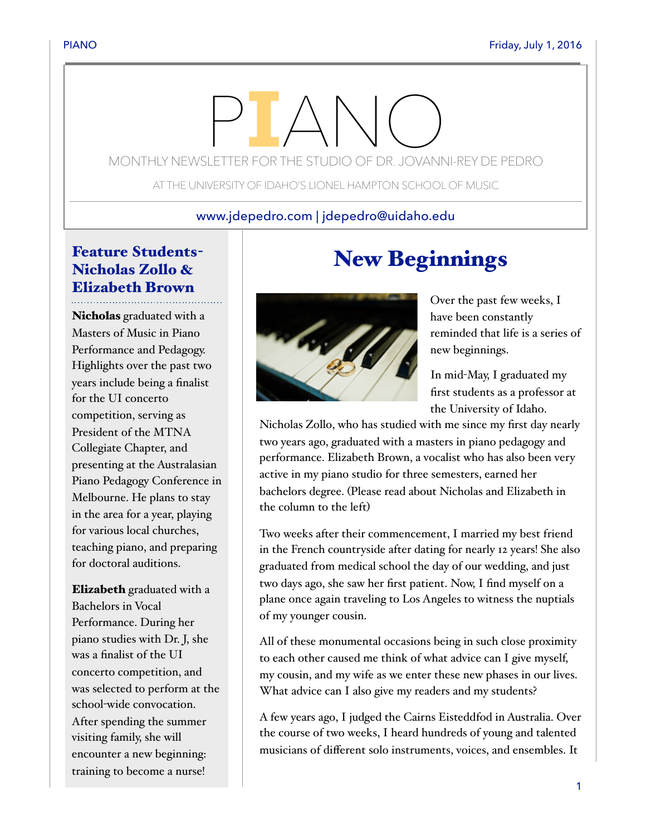# MONTHLY NEWSLETTER FOR THE STUDIO OF DR. JOVANNI-REY DE PEDRO

AT THE UNIVERSITY OF IDAHO'S LIONEL HAMPTON SCHOOL OF MUSIC

#### www.jdepedro.com | jdepedro@uidaho.edu

### Feature Students-Nicholas Zollo & Elizabeth Brown

Nicholas graduated with a Masters of Music in Piano Performance and Pedagogy. Highlights over the past two years include being a finalist for the UI concerto competition, serving as President of the MTNA Collegiate Chapter, and presenting at the Australasian Piano Pedagogy Conference in Melbourne. He plans to stay in the area for a year, playing for various local churches, teaching piano, and preparing for doctoral auditions.

Elizabeth graduated with a Bachelors in Vocal Performance. During her piano studies with Dr. J, she was a finalist of the UI concerto competition, and was selected to perform at the school-wide convocation. After spending the summer visiting family, she will encounter a new beginning: training to become a nurse!

## New Beginnings



Over the past few weeks, I have been constantly reminded that life is a series of new beginnings.

In mid-May, I graduated my first students as a professor at the University of Idaho.

Nicholas Zollo, who has studied with me since my first day nearly two years ago, graduated with a masters in piano pedagogy and performance. Elizabeth Brown, a vocalist who has also been very active in my piano studio for three semesters, earned her bachelors degree. (Please read about Nicholas and Elizabeth in the column to the left)

Two weeks after their commencement, I married my best friend in the French countryside after dating for nearly 12 years! She also graduated from medical school the day of our wedding, and just two days ago, she saw her first patient. Now, I find myself on a plane once again traveling to Los Angeles to witness the nuptials of my younger cousin.

All of these monumental occasions being in such close proximity to each other caused me think of what advice can I give myself, my cousin, and my wife as we enter these new phases in our lives. What advice can I also give my readers and my students?

A few years ago, I judged the Cairns Eisteddfod in Australia. Over the course of two weeks, I heard hundreds of young and talented musicians of different solo instruments, voices, and ensembles. It